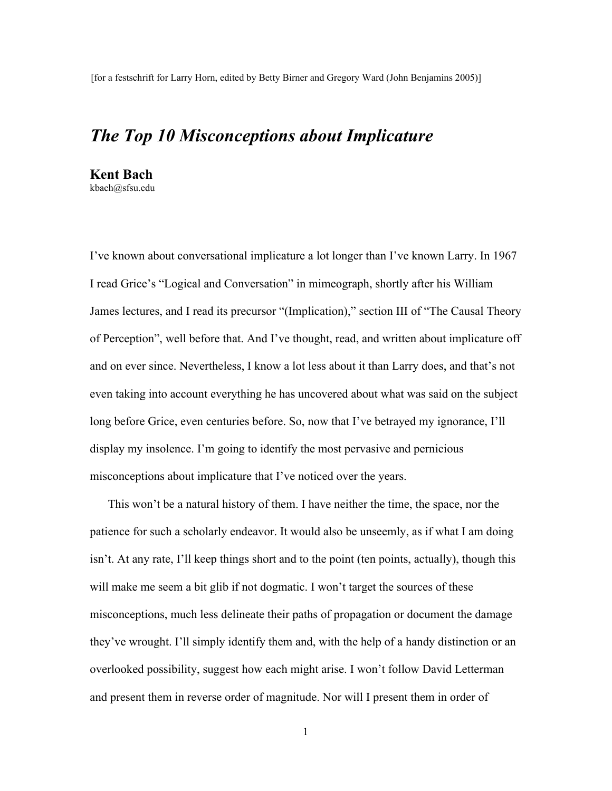[for a festschrift for Larry Horn, edited by Betty Birner and Gregory Ward (John Benjamins 2005)]

# *The Top 10 Misconceptions about Implicature*

Kent Bach kbach@sfsu.edu

I've known about conversational implicature a lot longer than I've known Larry. In 1967 I read Grice's "Logical and Conversation" in mimeograph, shortly after his William James lectures, and I read its precursor "(Implication)," section III of "The Causal Theory of Perception", well before that. And I've thought, read, and written about implicature off and on ever since. Nevertheless, I know a lot less about it than Larry does, and that's not even taking into account everything he has uncovered about what was said on the subject long before Grice, even centuries before. So, now that I've betrayed my ignorance, I'll display my insolence. I'm going to identify the most pervasive and pernicious misconceptions about implicature that I've noticed over the years.

This won't be a natural history of them. I have neither the time, the space, nor the patience for such a scholarly endeavor. It would also be unseemly, as if what I am doing isn't. At any rate, I'll keep things short and to the point (ten points, actually), though this will make me seem a bit glib if not dogmatic. I won't target the sources of these misconceptions, much less delineate their paths of propagation or document the damage they've wrought. I'll simply identify them and, with the help of a handy distinction or an overlooked possibility, suggest how each might arise. I won't follow David Letterman and present them in reverse order of magnitude. Nor will I present them in order of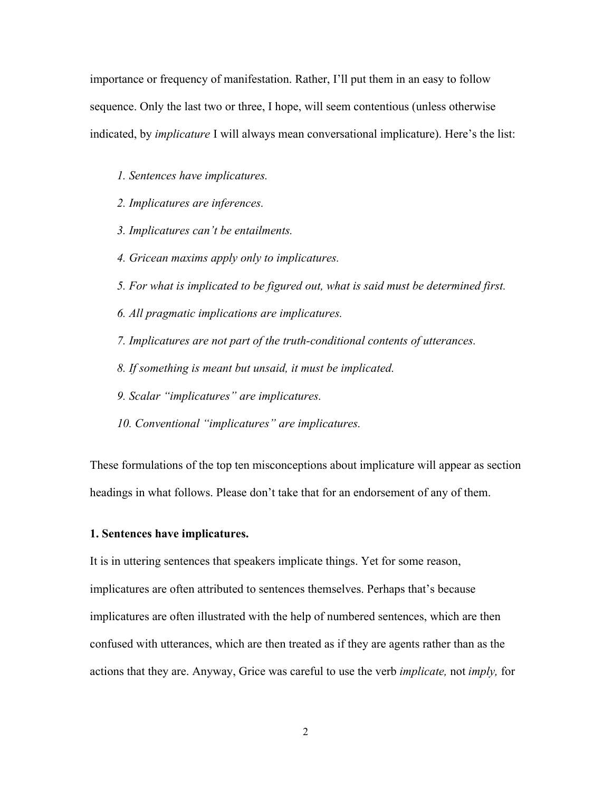importance or frequency of manifestation. Rather, I'll put them in an easy to follow sequence. Only the last two or three, I hope, will seem contentious (unless otherwise indicated, by *implicature* I will always mean conversational implicature). Here's the list:

- *1. Sentences have implicatures.*
- *2. Implicatures are inferences.*
- *3. Implicatures can't be entailments.*
- *4. Gricean maxims apply only to implicatures.*
- *5. For what is implicated to be figured out, what is said must be determined first.*
- *6. All pragmatic implications are implicatures.*
- *7. Implicatures are not part of the truth-conditional contents of utterances.*
- *8. If something is meant but unsaid, it must be implicated.*
- *9. Scalar "implicatures" are implicatures.*
- *10. Conventional "implicatures" are implicatures.*

These formulations of the top ten misconceptions about implicature will appear as section headings in what follows. Please don't take that for an endorsement of any of them.

# 1. Sentences have implicatures.

It is in uttering sentences that speakers implicate things. Yet for some reason, implicatures are often attributed to sentences themselves. Perhaps that's because implicatures are often illustrated with the help of numbered sentences, which are then confused with utterances, which are then treated as if they are agents rather than as the actions that they are. Anyway, Grice was careful to use the verb *implicate,* not *imply,* for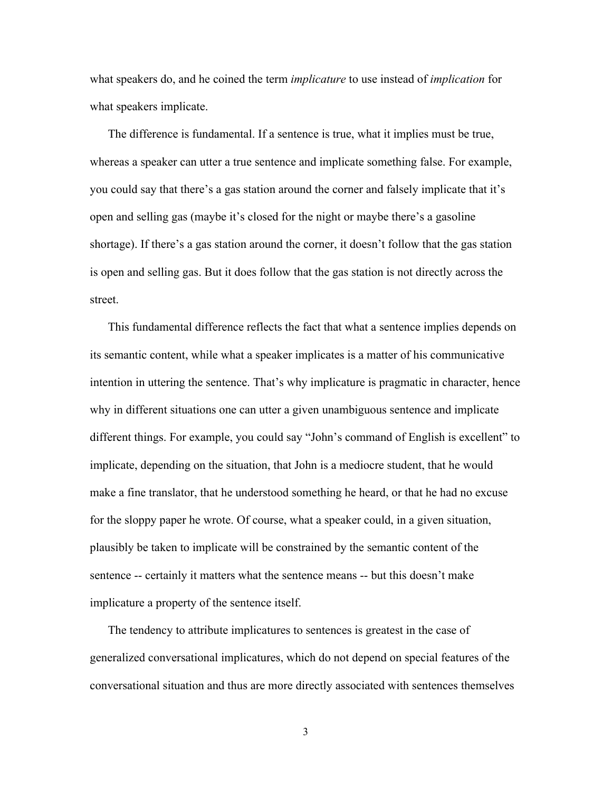what speakers do, and he coined the term *implicature* to use instead of *implication* for what speakers implicate.

The difference is fundamental. If a sentence is true, what it implies must be true, whereas a speaker can utter a true sentence and implicate something false. For example, you could say that there's a gas station around the corner and falsely implicate that it's open and selling gas (maybe it's closed for the night or maybe there's a gasoline shortage). If there's a gas station around the corner, it doesn't follow that the gas station is open and selling gas. But it does follow that the gas station is not directly across the street.

This fundamental difference reflects the fact that what a sentence implies depends on its semantic content, while what a speaker implicates is a matter of his communicative intention in uttering the sentence. That's why implicature is pragmatic in character, hence why in different situations one can utter a given unambiguous sentence and implicate different things. For example, you could say "John's command of English is excellent" to implicate, depending on the situation, that John is a mediocre student, that he would make a fine translator, that he understood something he heard, or that he had no excuse for the sloppy paper he wrote. Of course, what a speaker could, in a given situation, plausibly be taken to implicate will be constrained by the semantic content of the sentence -- certainly it matters what the sentence means -- but this doesn't make implicature a property of the sentence itself.

The tendency to attribute implicatures to sentences is greatest in the case of generalized conversational implicatures, which do not depend on special features of the conversational situation and thus are more directly associated with sentences themselves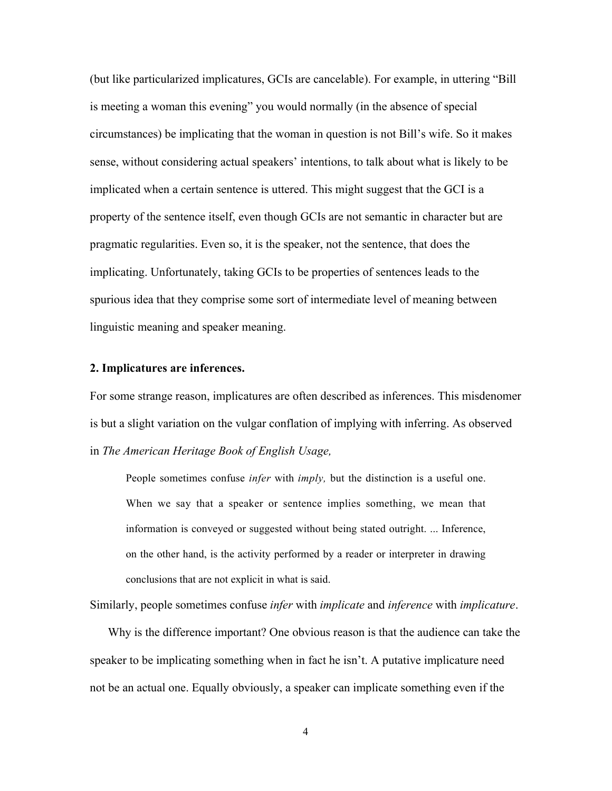(but like particularized implicatures, GCIs are cancelable). For example, in uttering "Bill is meeting a woman this evening" you would normally (in the absence of special circumstances) be implicating that the woman in question is not Bill's wife. So it makes sense, without considering actual speakers' intentions, to talk about what is likely to be implicated when a certain sentence is uttered. This might suggest that the GCI is a property of the sentence itself, even though GCIs are not semantic in character but are pragmatic regularities. Even so, it is the speaker, not the sentence, that does the implicating. Unfortunately, taking GCIs to be properties of sentences leads to the spurious idea that they comprise some sort of intermediate level of meaning between linguistic meaning and speaker meaning.

# 2. Implicatures are inferences.

For some strange reason, implicatures are often described as inferences. This misdenomer is but a slight variation on the vulgar conflation of implying with inferring. As observed in *The American Heritage Book of English Usage,*

People sometimes confuse *infer* with *imply,* but the distinction is a useful one. When we say that a speaker or sentence implies something, we mean that information is conveyed or suggested without being stated outright. ... Inference, on the other hand, is the activity performed by a reader or interpreter in drawing conclusions that are not explicit in what is said.

Similarly, people sometimes confuse *infer* with *implicate* and *inference* with *implicature*.

Why is the difference important? One obvious reason is that the audience can take the speaker to be implicating something when in fact he isn't. A putative implicature need not be an actual one. Equally obviously, a speaker can implicate something even if the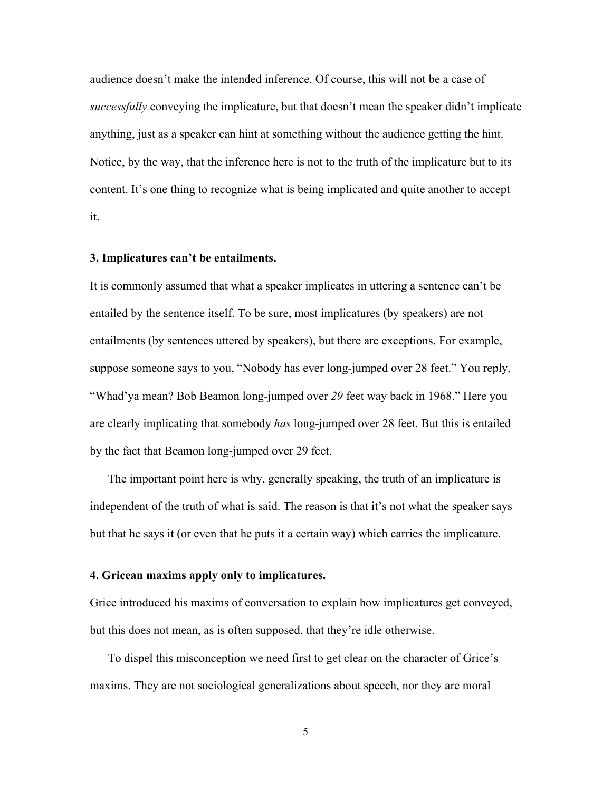audience doesn't make the intended inference. Of course, this will not be a case of *successfully* conveying the implicature, but that doesn't mean the speaker didn't implicate anything, just as a speaker can hint at something without the audience getting the hint. Notice, by the way, that the inference here is not to the truth of the implicature but to its content. It's one thing to recognize what is being implicated and quite another to accept it.

# 3. Implicatures can't be entailments.

It is commonly assumed that what a speaker implicates in uttering a sentence can't be entailed by the sentence itself. To be sure, most implicatures (by speakers) are not entailments (by sentences uttered by speakers), but there are exceptions. For example, suppose someone says to you, "Nobody has ever long-jumped over 28 feet." You reply, "Whad'ya mean? Bob Beamon long-jumped over *29* feet way back in 1968." Here you are clearly implicating that somebody *has* long-jumped over 28 feet. But this is entailed by the fact that Beamon long-jumped over 29 feet.

The important point here is why, generally speaking, the truth of an implicature is independent of the truth of what is said. The reason is that it's not what the speaker says but that he says it (or even that he puts it a certain way) which carries the implicature.

#### 4. Gricean maxims apply only to implicatures.

Grice introduced his maxims of conversation to explain how implicatures get conveyed, but this does not mean, as is often supposed, that they're idle otherwise.

To dispel this misconception we need first to get clear on the character of Grice's maxims. They are not sociological generalizations about speech, nor they are moral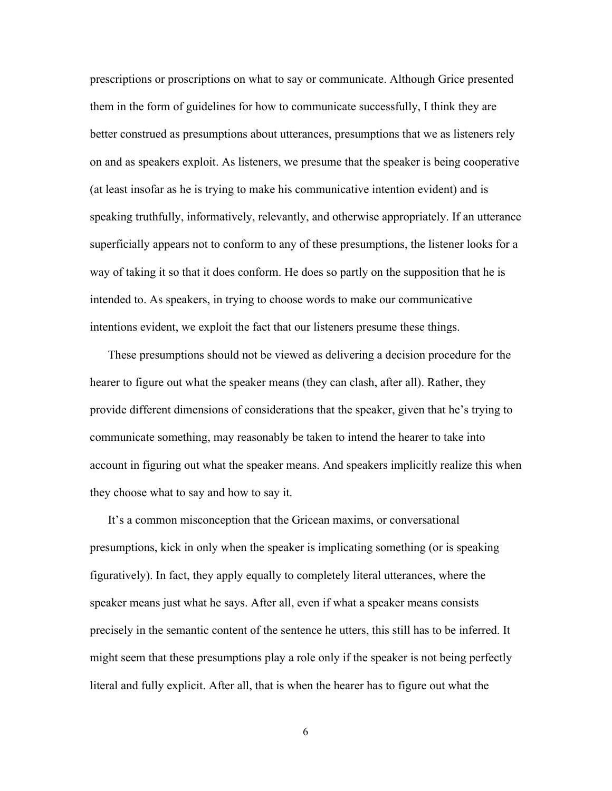prescriptions or proscriptions on what to say or communicate. Although Grice presented them in the form of guidelines for how to communicate successfully, I think they are better construed as presumptions about utterances, presumptions that we as listeners rely on and as speakers exploit. As listeners, we presume that the speaker is being cooperative (at least insofar as he is trying to make his communicative intention evident) and is speaking truthfully, informatively, relevantly, and otherwise appropriately. If an utterance superficially appears not to conform to any of these presumptions, the listener looks for a way of taking it so that it does conform. He does so partly on the supposition that he is intended to. As speakers, in trying to choose words to make our communicative intentions evident, we exploit the fact that our listeners presume these things.

These presumptions should not be viewed as delivering a decision procedure for the hearer to figure out what the speaker means (they can clash, after all). Rather, they provide different dimensions of considerations that the speaker, given that he's trying to communicate something, may reasonably be taken to intend the hearer to take into account in figuring out what the speaker means. And speakers implicitly realize this when they choose what to say and how to say it.

It's a common misconception that the Gricean maxims, or conversational presumptions, kick in only when the speaker is implicating something (or is speaking figuratively). In fact, they apply equally to completely literal utterances, where the speaker means just what he says. After all, even if what a speaker means consists precisely in the semantic content of the sentence he utters, this still has to be inferred. It might seem that these presumptions play a role only if the speaker is not being perfectly literal and fully explicit. After all, that is when the hearer has to figure out what the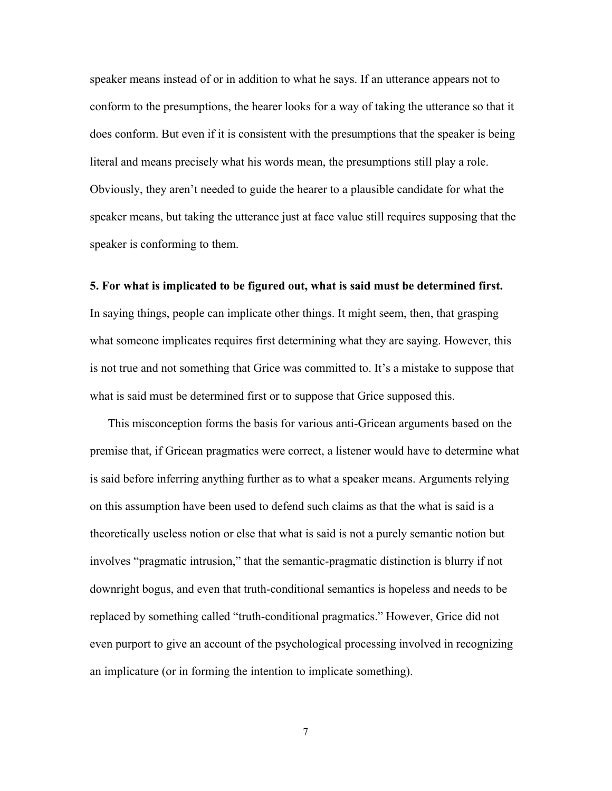speaker means instead of or in addition to what he says. If an utterance appears not to conform to the presumptions, the hearer looks for a way of taking the utterance so that it does conform. But even if it is consistent with the presumptions that the speaker is being literal and means precisely what his words mean, the presumptions still play a role. Obviously, they aren't needed to guide the hearer to a plausible candidate for what the speaker means, but taking the utterance just at face value still requires supposing that the speaker is conforming to them.

# 5. For what is implicated to be figured out, what is said must be determined first.

In saying things, people can implicate other things. It might seem, then, that grasping what someone implicates requires first determining what they are saying. However, this is not true and not something that Grice was committed to. It's a mistake to suppose that what is said must be determined first or to suppose that Grice supposed this.

This misconception forms the basis for various anti-Gricean arguments based on the premise that, if Gricean pragmatics were correct, a listener would have to determine what is said before inferring anything further as to what a speaker means. Arguments relying on this assumption have been used to defend such claims as that the what is said is a theoretically useless notion or else that what is said is not a purely semantic notion but involves "pragmatic intrusion," that the semantic-pragmatic distinction is blurry if not downright bogus, and even that truth-conditional semantics is hopeless and needs to be replaced by something called "truth-conditional pragmatics." However, Grice did not even purport to give an account of the psychological processing involved in recognizing an implicature (or in forming the intention to implicate something).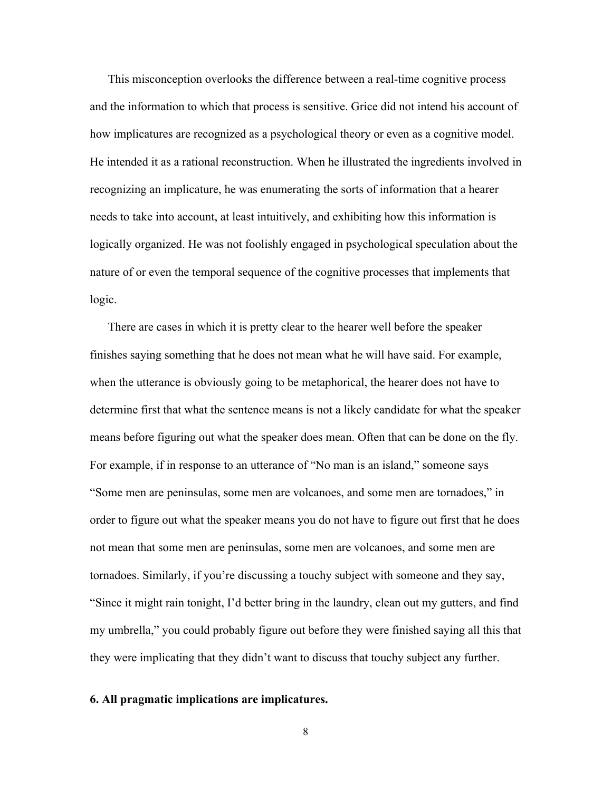This misconception overlooks the difference between a real-time cognitive process and the information to which that process is sensitive. Grice did not intend his account of how implicatures are recognized as a psychological theory or even as a cognitive model. He intended it as a rational reconstruction. When he illustrated the ingredients involved in recognizing an implicature, he was enumerating the sorts of information that a hearer needs to take into account, at least intuitively, and exhibiting how this information is logically organized. He was not foolishly engaged in psychological speculation about the nature of or even the temporal sequence of the cognitive processes that implements that logic.

There are cases in which it is pretty clear to the hearer well before the speaker finishes saying something that he does not mean what he will have said. For example, when the utterance is obviously going to be metaphorical, the hearer does not have to determine first that what the sentence means is not a likely candidate for what the speaker means before figuring out what the speaker does mean. Often that can be done on the fly. For example, if in response to an utterance of "No man is an island," someone says "Some men are peninsulas, some men are volcanoes, and some men are tornadoes," in order to figure out what the speaker means you do not have to figure out first that he does not mean that some men are peninsulas, some men are volcanoes, and some men are tornadoes. Similarly, if you're discussing a touchy subject with someone and they say, "Since it might rain tonight, I'd better bring in the laundry, clean out my gutters, and find my umbrella," you could probably figure out before they were finished saying all this that they were implicating that they didn't want to discuss that touchy subject any further.

# 6. All pragmatic implications are implicatures.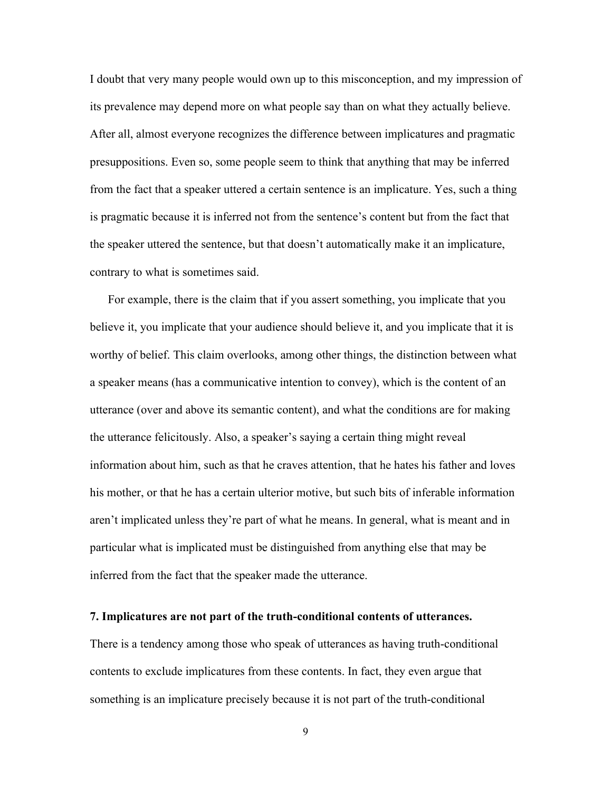I doubt that very many people would own up to this misconception, and my impression of its prevalence may depend more on what people say than on what they actually believe. After all, almost everyone recognizes the difference between implicatures and pragmatic presuppositions. Even so, some people seem to think that anything that may be inferred from the fact that a speaker uttered a certain sentence is an implicature. Yes, such a thing is pragmatic because it is inferred not from the sentence's content but from the fact that the speaker uttered the sentence, but that doesn't automatically make it an implicature, contrary to what is sometimes said.

For example, there is the claim that if you assert something, you implicate that you believe it, you implicate that your audience should believe it, and you implicate that it is worthy of belief. This claim overlooks, among other things, the distinction between what a speaker means (has a communicative intention to convey), which is the content of an utterance (over and above its semantic content), and what the conditions are for making the utterance felicitously. Also, a speaker's saying a certain thing might reveal information about him, such as that he craves attention, that he hates his father and loves his mother, or that he has a certain ulterior motive, but such bits of inferable information aren't implicated unless they're part of what he means. In general, what is meant and in particular what is implicated must be distinguished from anything else that may be inferred from the fact that the speaker made the utterance.

# 7. Implicatures are not part of the truth-conditional contents of utterances.

There is a tendency among those who speak of utterances as having truth-conditional contents to exclude implicatures from these contents. In fact, they even argue that something is an implicature precisely because it is not part of the truth-conditional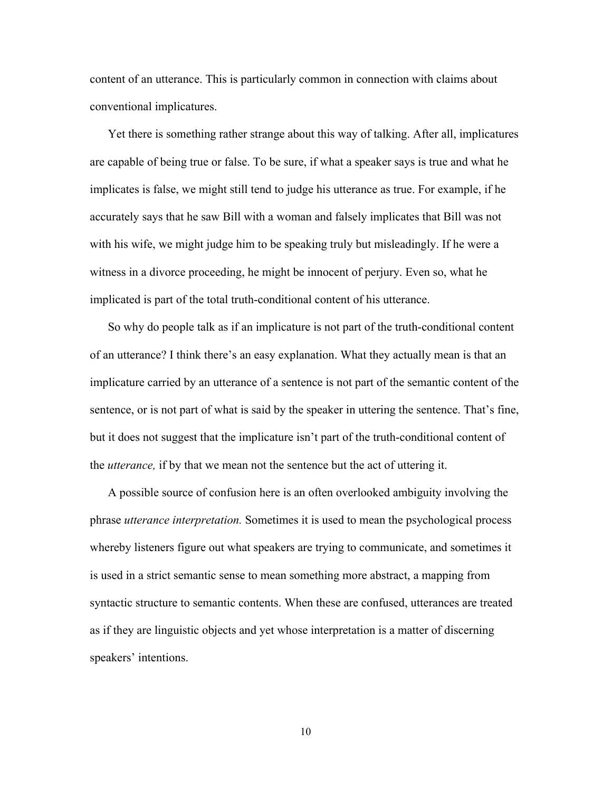content of an utterance. This is particularly common in connection with claims about conventional implicatures.

Yet there is something rather strange about this way of talking. After all, implicatures are capable of being true or false. To be sure, if what a speaker says is true and what he implicates is false, we might still tend to judge his utterance as true. For example, if he accurately says that he saw Bill with a woman and falsely implicates that Bill was not with his wife, we might judge him to be speaking truly but misleadingly. If he were a witness in a divorce proceeding, he might be innocent of perjury. Even so, what he implicated is part of the total truth-conditional content of his utterance.

So why do people talk as if an implicature is not part of the truth-conditional content of an utterance? I think there's an easy explanation. What they actually mean is that an implicature carried by an utterance of a sentence is not part of the semantic content of the sentence, or is not part of what is said by the speaker in uttering the sentence. That's fine, but it does not suggest that the implicature isn't part of the truth-conditional content of the *utterance,* if by that we mean not the sentence but the act of uttering it.

A possible source of confusion here is an often overlooked ambiguity involving the phrase *utterance interpretation.* Sometimes it is used to mean the psychological process whereby listeners figure out what speakers are trying to communicate, and sometimes it is used in a strict semantic sense to mean something more abstract, a mapping from syntactic structure to semantic contents. When these are confused, utterances are treated as if they are linguistic objects and yet whose interpretation is a matter of discerning speakers' intentions.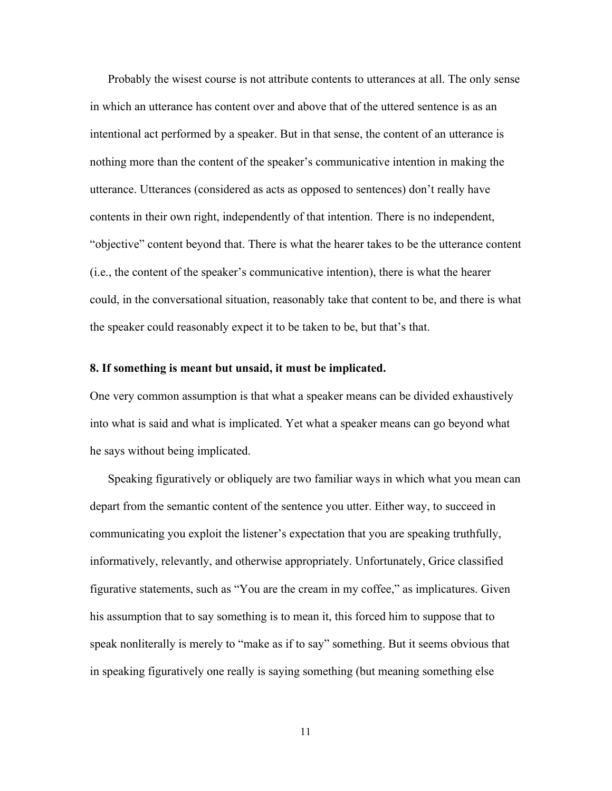Probably the wisest course is not attribute contents to utterances at all. The only sense in which an utterance has content over and above that of the uttered sentence is as an intentional act performed by a speaker. But in that sense, the content of an utterance is nothing more than the content of the speaker's communicative intention in making the utterance. Utterances (considered as acts as opposed to sentences) don't really have contents in their own right, independently of that intention. There is no independent, "objective" content beyond that. There is what the hearer takes to be the utterance content (i.e., the content of the speaker's communicative intention), there is what the hearer could, in the conversational situation, reasonably take that content to be, and there is what the speaker could reasonably expect it to be taken to be, but that's that.

#### 8. If something is meant but unsaid, it must be implicated.

One very common assumption is that what a speaker means can be divided exhaustively into what is said and what is implicated. Yet what a speaker means can go beyond what he says without being implicated.

Speaking figuratively or obliquely are two familiar ways in which what you mean can depart from the semantic content of the sentence you utter. Either way, to succeed in communicating you exploit the listener's expectation that you are speaking truthfully, informatively, relevantly, and otherwise appropriately. Unfortunately, Grice classified figurative statements, such as "You are the cream in my coffee," as implicatures. Given his assumption that to say something is to mean it, this forced him to suppose that to speak nonliterally is merely to "make as if to say" something. But it seems obvious that in speaking figuratively one really is saying something (but meaning something else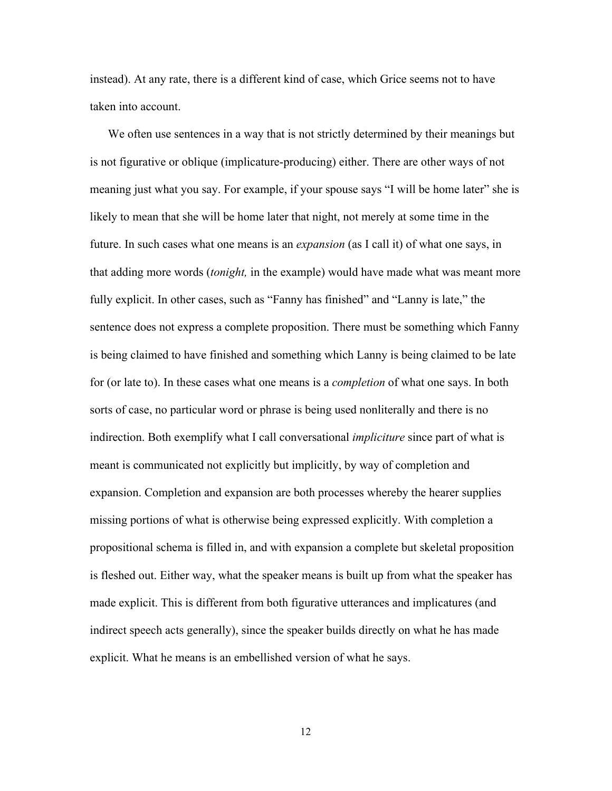instead). At any rate, there is a different kind of case, which Grice seems not to have taken into account.

We often use sentences in a way that is not strictly determined by their meanings but is not figurative or oblique (implicature-producing) either. There are other ways of not meaning just what you say. For example, if your spouse says "I will be home later" she is likely to mean that she will be home later that night, not merely at some time in the future. In such cases what one means is an *expansion* (as I call it) of what one says, in that adding more words (*tonight,* in the example) would have made what was meant more fully explicit. In other cases, such as "Fanny has finished" and "Lanny is late," the sentence does not express a complete proposition. There must be something which Fanny is being claimed to have finished and something which Lanny is being claimed to be late for (or late to). In these cases what one means is a *completion* of what one says. In both sorts of case, no particular word or phrase is being used nonliterally and there is no indirection. Both exemplify what I call conversational *impliciture* since part of what is meant is communicated not explicitly but implicitly, by way of completion and expansion. Completion and expansion are both processes whereby the hearer supplies missing portions of what is otherwise being expressed explicitly. With completion a propositional schema is filled in, and with expansion a complete but skeletal proposition is fleshed out. Either way, what the speaker means is built up from what the speaker has made explicit. This is different from both figurative utterances and implicatures (and indirect speech acts generally), since the speaker builds directly on what he has made explicit. What he means is an embellished version of what he says.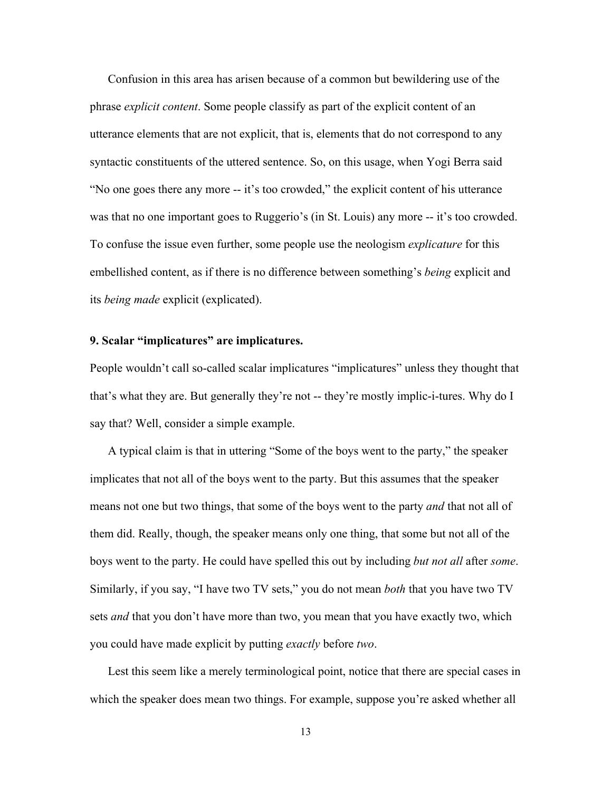Confusion in this area has arisen because of a common but bewildering use of the phrase *explicit content*. Some people classify as part of the explicit content of an utterance elements that are not explicit, that is, elements that do not correspond to any syntactic constituents of the uttered sentence. So, on this usage, when Yogi Berra said "No one goes there any more -- it's too crowded," the explicit content of his utterance was that no one important goes to Ruggerio's (in St. Louis) any more -- it's too crowded. To confuse the issue even further, some people use the neologism *explicature* for this embellished content, as if there is no difference between something's *being* explicit and its *being made* explicit (explicated).

## 9. Scalar "implicatures" are implicatures.

People wouldn't call so-called scalar implicatures "implicatures" unless they thought that that's what they are. But generally they're not -- they're mostly implic-i-tures. Why do I say that? Well, consider a simple example.

A typical claim is that in uttering "Some of the boys went to the party," the speaker implicates that not all of the boys went to the party. But this assumes that the speaker means not one but two things, that some of the boys went to the party *and* that not all of them did. Really, though, the speaker means only one thing, that some but not all of the boys went to the party. He could have spelled this out by including *but not all* after *some*. Similarly, if you say, "I have two TV sets," you do not mean *both* that you have two TV sets *and* that you don't have more than two, you mean that you have exactly two, which you could have made explicit by putting *exactly* before *two*.

Lest this seem like a merely terminological point, notice that there are special cases in which the speaker does mean two things. For example, suppose you're asked whether all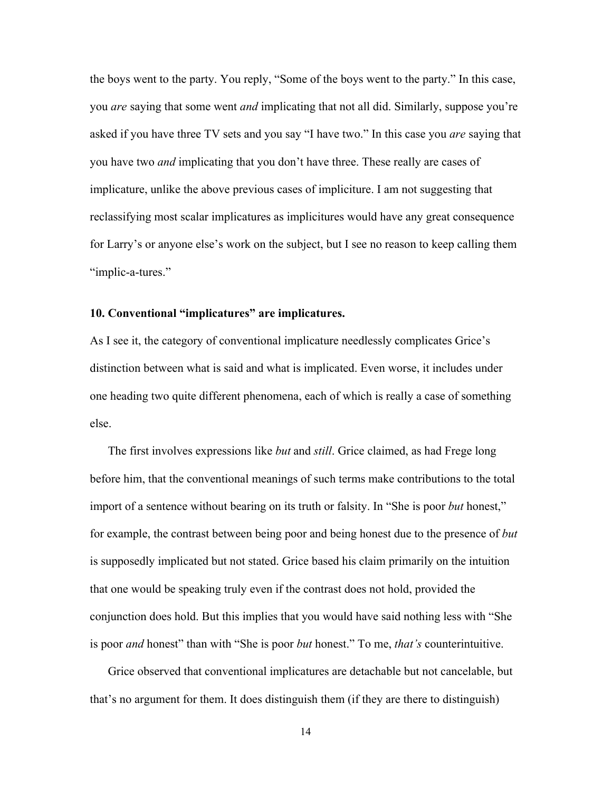the boys went to the party. You reply, "Some of the boys went to the party." In this case, you *are* saying that some went *and* implicating that not all did. Similarly, suppose you're asked if you have three TV sets and you say "I have two." In this case you *are* saying that you have two *and* implicating that you don't have three. These really are cases of implicature, unlike the above previous cases of impliciture. I am not suggesting that reclassifying most scalar implicatures as implicitures would have any great consequence for Larry's or anyone else's work on the subject, but I see no reason to keep calling them "implic-a-tures."

# 10. Conventional "implicatures" are implicatures.

As I see it, the category of conventional implicature needlessly complicates Grice's distinction between what is said and what is implicated. Even worse, it includes under one heading two quite different phenomena, each of which is really a case of something else.

The first involves expressions like *but* and *still*. Grice claimed, as had Frege long before him, that the conventional meanings of such terms make contributions to the total import of a sentence without bearing on its truth or falsity. In "She is poor *but* honest," for example, the contrast between being poor and being honest due to the presence of *but* is supposedly implicated but not stated. Grice based his claim primarily on the intuition that one would be speaking truly even if the contrast does not hold, provided the conjunction does hold. But this implies that you would have said nothing less with "She is poor *and* honest" than with "She is poor *but* honest." To me, *that's* counterintuitive.

Grice observed that conventional implicatures are detachable but not cancelable, but that's no argument for them. It does distinguish them (if they are there to distinguish)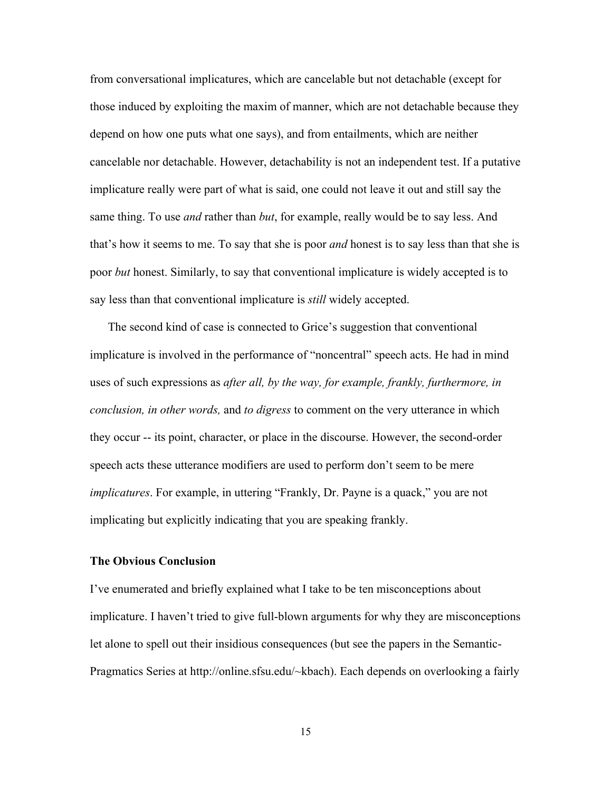from conversational implicatures, which are cancelable but not detachable (except for those induced by exploiting the maxim of manner, which are not detachable because they depend on how one puts what one says), and from entailments, which are neither cancelable nor detachable. However, detachability is not an independent test. If a putative implicature really were part of what is said, one could not leave it out and still say the same thing. To use *and* rather than *but*, for example, really would be to say less. And that's how it seems to me. To say that she is poor *and* honest is to say less than that she is poor *but* honest. Similarly, to say that conventional implicature is widely accepted is to say less than that conventional implicature is *still* widely accepted.

The second kind of case is connected to Grice's suggestion that conventional implicature is involved in the performance of "noncentral" speech acts. He had in mind uses of such expressions as *after all, by the way, for example, frankly, furthermore, in conclusion, in other words,* and *to digress* to comment on the very utterance in which they occur -- its point, character, or place in the discourse. However, the second-order speech acts these utterance modifiers are used to perform don't seem to be mere *implicatures*. For example, in uttering "Frankly, Dr. Payne is a quack," you are not implicating but explicitly indicating that you are speaking frankly.

#### The Obvious Conclusion

I've enumerated and briefly explained what I take to be ten misconceptions about implicature. I haven't tried to give full-blown arguments for why they are misconceptions let alone to spell out their insidious consequences (but see the papers in the Semantic-Pragmatics Series at http://online.sfsu.edu/~kbach). Each depends on overlooking a fairly